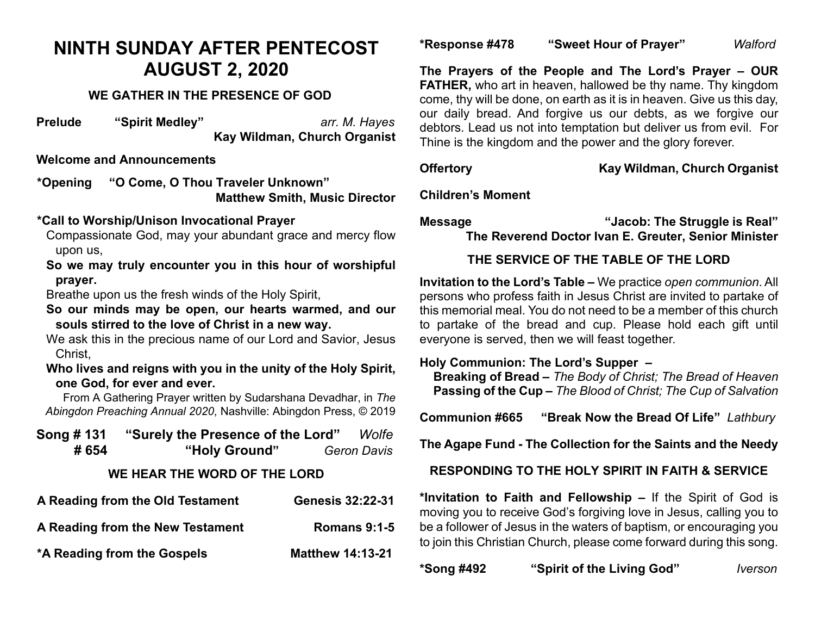# **NINTH SUNDAY AFTER PENTECOST AUGUST 2, 2020**

# **WE GATHER IN THE PRESENCE OF GOD**

**Prelude "Spirit Medley"** *arr. M. Hayes* **Kay Wildman, Church Organist**

## **Welcome and Announcements**

**\*Opening "O Come, O Thou Traveler Unknown" Matthew Smith, Music Director** 

#### **\*Call to Worship/Unison Invocational Prayer**

Compassionate God, may your abundant grace and mercy flow upon us,

**So we may truly encounter you in this hour of worshipful prayer.**

Breathe upon us the fresh winds of the Holy Spirit,

**So our minds may be open, our hearts warmed, and our souls stirred to the love of Christ in a new way.**

We ask this in the precious name of our Lord and Savior, Jesus Christ,

**Who lives and reigns with you in the unity of the Holy Spirit, one God, for ever and ever.** 

From A Gathering Prayer written by Sudarshana Devadhar, in *The Abingdon Preaching Annual 2020*, Nashville: Abingdon Press, © 2019

| Song # 131 | "Surely the Presence of the Lord" | Wolfe              |
|------------|-----------------------------------|--------------------|
| # 654      | "Holy Ground"                     | <b>Geron Davis</b> |
|            | WE HEAR THE WORD OF THE LORD      |                    |

| A Reading from the Old Testament | <b>Genesis 32:22-31</b> |
|----------------------------------|-------------------------|
| A Reading from the New Testament | <b>Romans 9:1-5</b>     |
| *A Reading from the Gospels      | <b>Matthew 14:13-21</b> |

**\*Response #478 "Sweet Hour of Prayer"** *Walford*

**The Prayers of the People and The Lord's Prayer – OUR FATHER, who art in heaven, hallowed be thy name. Thy kingdom** come, thy will be done, on earth as it is in heaven. Give us this day, our daily bread. And forgive us our debts, as we forgive our debtors. Lead us not into temptation but deliver us from evil. For Thine is the kingdom and the power and the glory forever.

## **Offertory Kay Wildman, Church Organist**

**Children's Moment**

**Message "Jacob: The Struggle is Real" The Reverend Doctor Ivan E. Greuter, Senior Minister**

# **THE SERVICE OF THE TABLE OF THE LORD**

**Invitation to the Lord's Table –** We practice *open communion*. All persons who profess faith in Jesus Christ are invited to partake of this memorial meal. You do not need to be a member of this church to partake of the bread and cup. Please hold each gift until everyone is served, then we will feast together.

# **Holy Communion: The Lord's Supper –**

 **Breaking of Bread –** *The Body of Christ; The Bread of Heaven*  **Passing of the Cup –** *The Blood of Christ; The Cup of Salvation*

**Communion #665 "Break Now the Bread Of Life"** *Lathbury*

**The Agape Fund - The Collection for the Saints and the Needy**

# **RESPONDING TO THE HOLY SPIRIT IN FAITH & SERVICE**

**\*Invitation to Faith and Fellowship –** If the Spirit of God is moving you to receive God's forgiving love in Jesus, calling you to be a follower of Jesus in the waters of baptism, or encouraging you to join this Christian Church, please come forward during this song.

| *Song #492 | "Spirit of the |
|------------|----------------|
|------------|----------------|